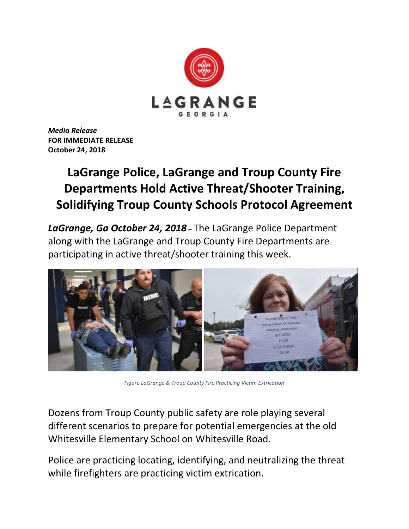

*Media Release* **FOR IMMEDIATE RELEASE October 24, 2018**

## **LaGrange Police, LaGrange and Troup County Fire Departments Hold Active Threat/Shooter Training, Solidifying Troup County Schools Protocol Agreement**

*LaGrange, Ga October 24, 2018* – The LaGrange Police Department along with the LaGrange and Troup County Fire Departments are participating in active threat/shooter training this week.



*Figure LaGrange & Troup County Fire Practicing Victim Extrication*

Dozens from Troup County public safety are role playing several different scenarios to prepare for potential emergencies at the old Whitesville Elementary School on Whitesville Road.

Police are practicing locating, identifying, and neutralizing the threat while firefighters are practicing victim extrication.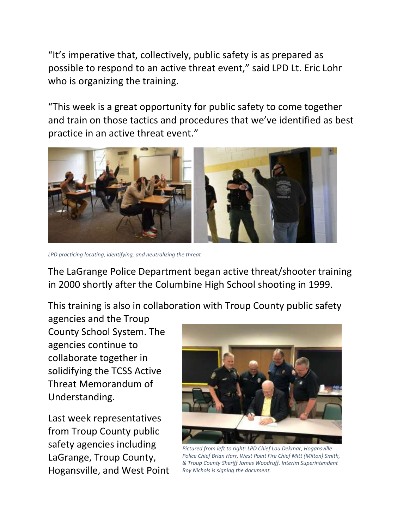"It's imperative that, collectively, public safety is as prepared as possible to respond to an active threat event," said LPD Lt. Eric Lohr who is organizing the training.

"This week is a great opportunity for public safety to come together and train on those tactics and procedures that we've identified as best practice in an active threat event."



*LPD practicing locating, identifying, and neutralizing the threat*

The LaGrange Police Department began active threat/shooter training in 2000 shortly after the Columbine High School shooting in 1999.

This training is also in collaboration with Troup County public safety

agencies and the Troup County School System. The agencies continue to collaborate together in solidifying the TCSS Active Threat Memorandum of Understanding.

Last week representatives from Troup County public safety agencies including LaGrange, Troup County, Hogansville, and West Point



*Pictured from left to right: LPD Chief Lou Dekmar, Hogansville Police Chief Brian Harr, West Point Fire Chief Mitt (Milton) Smith, & Troup County Sheriff James Woodruff. Interim Superintendent Roy Nichols is signing the document.*